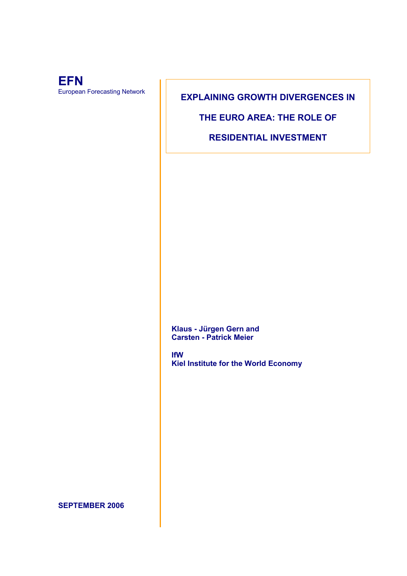

**EXPLAINING GROWTH DIVERGENCES IN** 

**THE EURO AREA: THE ROLE OF** 

**RESIDENTIAL INVESTMENT** 

**Klaus - Jürgen Gern and Carsten - Patrick Meier** 

**IfW Kiel Institute for the World Economy** 

**SEPTEMBER 2006**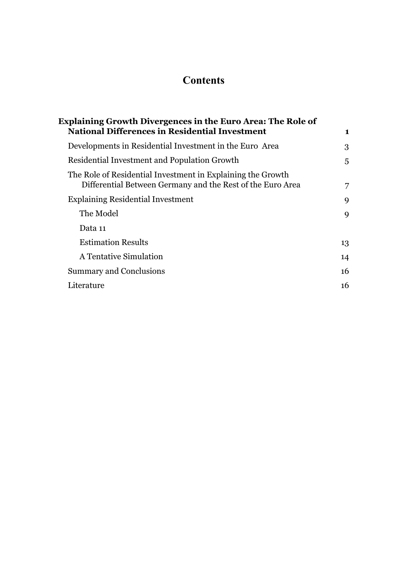# **Contents**

| <b>Explaining Growth Divergences in the Euro Area: The Role of</b> |                                                                                                                           |    |
|--------------------------------------------------------------------|---------------------------------------------------------------------------------------------------------------------------|----|
|                                                                    | <b>National Differences in Residential Investment</b>                                                                     | 1  |
|                                                                    | Developments in Residential Investment in the Euro Area                                                                   | 3  |
|                                                                    | Residential Investment and Population Growth                                                                              | 5  |
|                                                                    | The Role of Residential Investment in Explaining the Growth<br>Differential Between Germany and the Rest of the Euro Area | 7  |
|                                                                    | <b>Explaining Residential Investment</b>                                                                                  | 9  |
|                                                                    | The Model                                                                                                                 | 9  |
|                                                                    | Data 11                                                                                                                   |    |
|                                                                    | <b>Estimation Results</b>                                                                                                 | 13 |
|                                                                    | A Tentative Simulation                                                                                                    | 14 |
|                                                                    | <b>Summary and Conclusions</b>                                                                                            | 16 |
|                                                                    | Literature                                                                                                                | 16 |
|                                                                    |                                                                                                                           |    |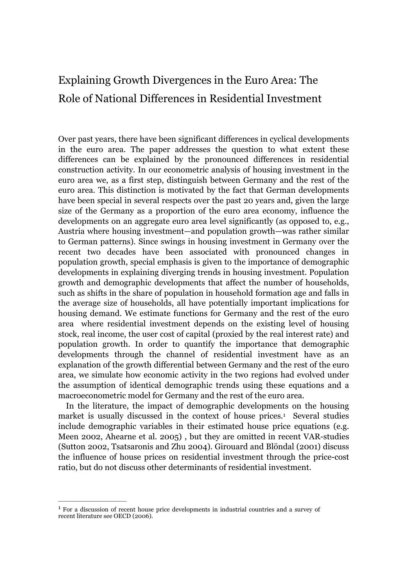# Explaining Growth Divergences in the Euro Area: The Role of National Differences in Residential Investment

Over past years, there have been significant differences in cyclical developments in the euro area. The paper addresses the question to what extent these differences can be explained by the pronounced differences in residential construction activity. In our econometric analysis of housing investment in the euro area we, as a first step, distinguish between Germany and the rest of the euro area. This distinction is motivated by the fact that German developments have been special in several respects over the past 20 years and, given the large size of the Germany as a proportion of the euro area economy, influence the developments on an aggregate euro area level significantly (as opposed to, e.g., Austria where housing investment—and population growth—was rather similar to German patterns). Since swings in housing investment in Germany over the recent two decades have been associated with pronounced changes in population growth, special emphasis is given to the importance of demographic developments in explaining diverging trends in housing investment. Population growth and demographic developments that affect the number of households, such as shifts in the share of population in household formation age and falls in the average size of households, all have potentially important implications for housing demand. We estimate functions for Germany and the rest of the euro area where residential investment depends on the existing level of housing stock, real income, the user cost of capital (proxied by the real interest rate) and population growth. In order to quantify the importance that demographic developments through the channel of residential investment have as an explanation of the growth differential between Germany and the rest of the euro area, we simulate how economic activity in the two regions had evolved under the assumption of identical demographic trends using these equations and a macroeconometric model for Germany and the rest of the euro area.

In the literature, the impact of demographic developments on the housing market is usually discussed in the context of house prices.<sup>1</sup> Several studies include demographic variables in their estimated house price equations (e.g. Meen 2002, Ahearne et al. 2005) , but they are omitted in recent VAR-studies (Sutton 2002, Tsatsaronis and Zhu 2004). Girouard and Blöndal (2001) discuss the influence of house prices on residential investment through the price-cost ratio, but do not discuss other determinants of residential investment.

 $\mathcal{L}_\text{max}$ 

<sup>1</sup> For a discussion of recent house price developments in industrial countries and a survey of recent literature see OECD (2006).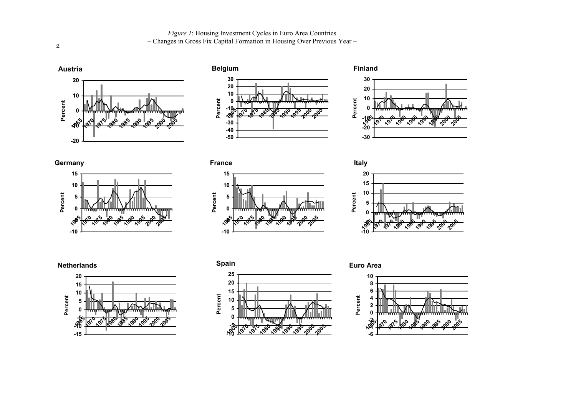*Figure 1*: Housing Investment Cycles in Euro Area Countries

– Changes in Gross Fix Capital Formation in Housing Over Previous Year –





















**France**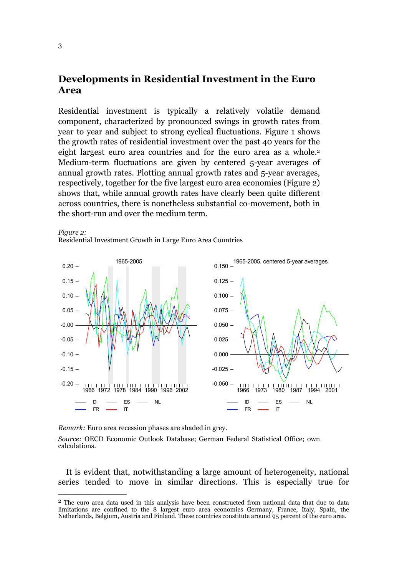## **Developments in Residential Investment in the Euro Area**

Residential investment is typically a relatively volatile demand component, characterized by pronounced swings in growth rates from year to year and subject to strong cyclical fluctuations. Figure 1 shows the growth rates of residential investment over the past 40 years for the eight largest euro area countries and for the euro area as a whole.<sup>2</sup> Medium-term fluctuations are given by centered 5-year averages of annual growth rates. Plotting annual growth rates and 5-year averages, respectively, together for the five largest euro area economies (Figure 2) shows that, while annual growth rates have clearly been quite different across countries, there is nonetheless substantial co-movement, both in the short-run and over the medium term.



 $\overline{\phantom{a}}$  , where  $\overline{\phantom{a}}$  , where  $\overline{\phantom{a}}$ 

*Remark:* Euro area recession phases are shaded in grey.

Residential Investment Growth in Large Euro Area Countries

*Source:* OECD Economic Outlook Database; German Federal Statistical Office; own calculations.

It is evident that, notwithstanding a large amount of heterogeneity, national series tended to move in similar directions. This is especially true for

*Figure 2:* 

<sup>2</sup> The euro area data used in this analysis have been constructed from national data that due to data limitations are confined to the 8 largest euro area economies Germany, France, Italy, Spain, the Netherlands, Belgium, Austria and Finland. These countries constitute around 95 percent of the euro area.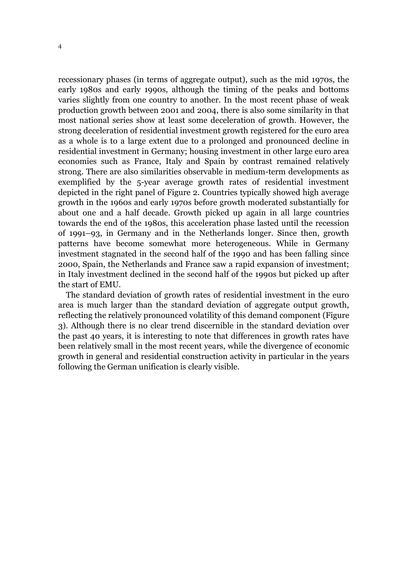recessionary phases (in terms of aggregate output), such as the mid 1970s, the early 1980s and early 1990s, although the timing of the peaks and bottoms varies slightly from one country to another. In the most recent phase of weak production growth between 2001 and 2004, there is also some similarity in that most national series show at least some deceleration of growth. However, the strong deceleration of residential investment growth registered for the euro area as a whole is to a large extent due to a prolonged and pronounced decline in residential investment in Germany; housing investment in other large euro area economies such as France, Italy and Spain by contrast remained relatively strong. There are also similarities observable in medium-term developments as exemplified by the 5-year average growth rates of residential investment depicted in the right panel of Figure 2. Countries typically showed high average growth in the 1960s and early 1970s before growth moderated substantially for about one and a half decade. Growth picked up again in all large countries towards the end of the 1980s, this acceleration phase lasted until the recession of 1991–93, in Germany and in the Netherlands longer. Since then, growth patterns have become somewhat more heterogeneous. While in Germany investment stagnated in the second half of the 1990 and has been falling since 2000, Spain, the Netherlands and France saw a rapid expansion of investment; in Italy investment declined in the second half of the 1990s but picked up after the start of EMU.

The standard deviation of growth rates of residential investment in the euro area is much larger than the standard deviation of aggregate output growth, reflecting the relatively pronounced volatility of this demand component (Figure 3). Although there is no clear trend discernible in the standard deviation over the past 40 years, it is interesting to note that differences in growth rates have been relatively small in the most recent years, while the divergence of economic growth in general and residential construction activity in particular in the years following the German unification is clearly visible.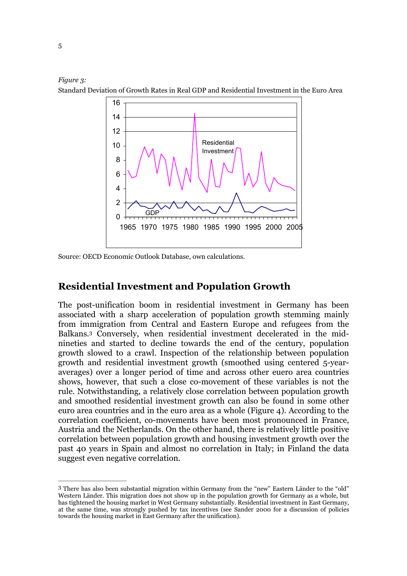



Source: OECD Economic Outlook Database, own calculations.

 $\mathcal{L}_\text{max}$ 

# **Residential Investment and Population Growth**

The post-unification boom in residential investment in Germany has been associated with a sharp acceleration of population growth stemming mainly from immigration from Central and Eastern Europe and refugees from the Balkans.3 Conversely, when residential investment decelerated in the midnineties and started to decline towards the end of the century, population growth slowed to a crawl. Inspection of the relationship between population growth and residential investment growth (smoothed using centered 5-yearaverages) over a longer period of time and across other euero area countries shows, however, that such a close co-movement of these variables is not the rule. Notwithstanding, a relatively close correlation between population growth and smoothed residential investment growth can also be found in some other euro area countries and in the euro area as a whole (Figure 4). According to the correlation coefficient, co-movements have been most pronounced in France, Austria and the Netherlands. On the other hand, there is relatively little positive correlation between population growth and housing investment growth over the past 40 years in Spain and almost no correlation in Italy; in Finland the data suggest even negative correlation.

<sup>3</sup> There has also been substantial migration within Germany from the "new" Eastern Länder to the "old" Western Länder. This migration does not show up in the population growth for Germany as a whole, but has tightened the housing market in West Germany substantially. Residential investment in East Germany, at the same time, was strongly pushed by tax incentives (see Sander 2000 for a discussion of policies towards the housing market in East Germany after the unification).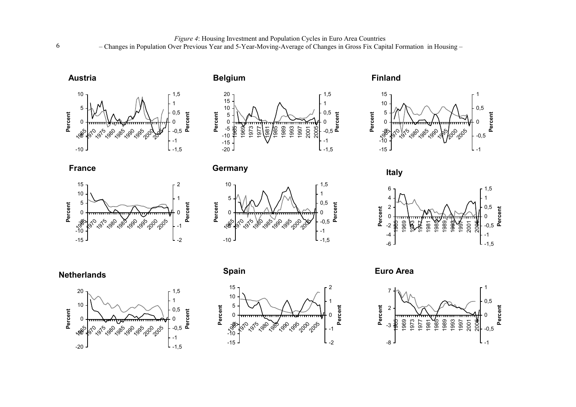**Austria**







**France**



**Germany**











**Finland**



**Italy**



**Euro Area**



6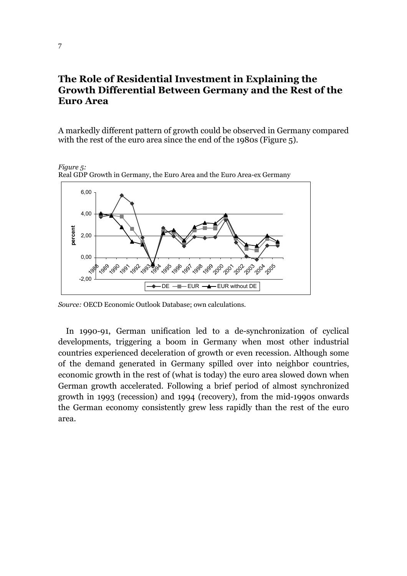## **The Role of Residential Investment in Explaining the Growth Differential Between Germany and the Rest of the Euro Area**

A markedly different pattern of growth could be observed in Germany compared with the rest of the euro area since the end of the 1980s (Figure 5).

-2,00 0,00 2,00 4,00 6,00 , 9 1989 1990 1991 1992 1993 **1994** ,99 1996 1997 1998 1999 200 '201 ag 1203 1204 1,005 **percent**   $DE$   $\leftarrow$  EUR  $\leftarrow$  EUR without DE

*Figure 5:* Real GDP Growth in Germany, the Euro Area and the Euro Area-ex Germany

*Source:* OECD Economic Outlook Database; own calculations.

In 1990-91, German unification led to a de-synchronization of cyclical developments, triggering a boom in Germany when most other industrial countries experienced deceleration of growth or even recession. Although some of the demand generated in Germany spilled over into neighbor countries, economic growth in the rest of (what is today) the euro area slowed down when German growth accelerated. Following a brief period of almost synchronized growth in 1993 (recession) and 1994 (recovery), from the mid-1990s onwards the German economy consistently grew less rapidly than the rest of the euro area.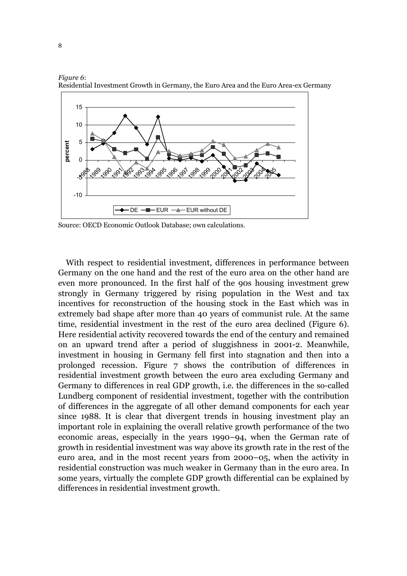

*Figure 6*: Residential Investment Growth in Germany, the Euro Area and the Euro Area-ex Germany

Source: OECD Economic Outlook Database; own calculations.

With respect to residential investment, differences in performance between Germany on the one hand and the rest of the euro area on the other hand are even more pronounced. In the first half of the 90s housing investment grew strongly in Germany triggered by rising population in the West and tax incentives for reconstruction of the housing stock in the East which was in extremely bad shape after more than 40 years of communist rule. At the same time, residential investment in the rest of the euro area declined (Figure 6). Here residential activity recovered towards the end of the century and remained on an upward trend after a period of sluggishness in 2001-2. Meanwhile, investment in housing in Germany fell first into stagnation and then into a prolonged recession. Figure 7 shows the contribution of differences in residential investment growth between the euro area excluding Germany and Germany to differences in real GDP growth, i.e. the differences in the so-called Lundberg component of residential investment, together with the contribution of differences in the aggregate of all other demand components for each year since 1988. It is clear that divergent trends in housing investment play an important role in explaining the overall relative growth performance of the two economic areas, especially in the years 1990–94, when the German rate of growth in residential investment was way above its growth rate in the rest of the euro area, and in the most recent years from 2000–05, when the activity in residential construction was much weaker in Germany than in the euro area. In some years, virtually the complete GDP growth differential can be explained by differences in residential investment growth.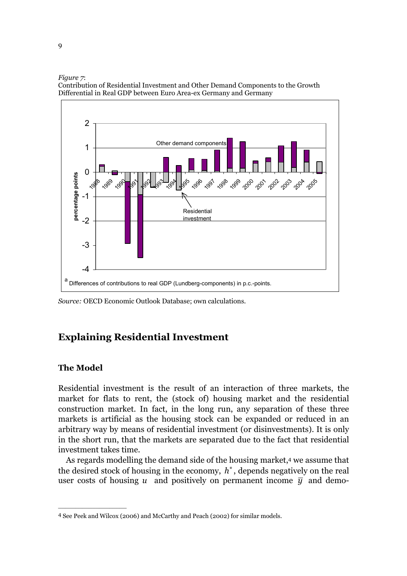#### *Figure 7*:



Contribution of Residential Investment and Other Demand Components to the Growth Differential in Real GDP between Euro Area-ex Germany and Germany

*Source:* OECD Economic Outlook Database; own calculations.

## **Explaining Residential Investment**

### **The Model**

Residential investment is the result of an interaction of three markets, the market for flats to rent, the (stock of) housing market and the residential construction market. In fact, in the long run, any separation of these three markets is artificial as the housing stock can be expanded or reduced in an arbitrary way by means of residential investment (or disinvestments). It is only in the short run, that the markets are separated due to the fact that residential investment takes time.

As regards modelling the demand side of the housing market,<sup>4</sup> we assume that the desired stock of housing in the economy,  $h^*$ , depends negatively on the real user costs of housing *u* and positively on permanent income  $\bar{y}$  and demo-

<sup>4</sup> See Peek and Wilcox (2006) and McCarthy and Peach (2002) for similar models.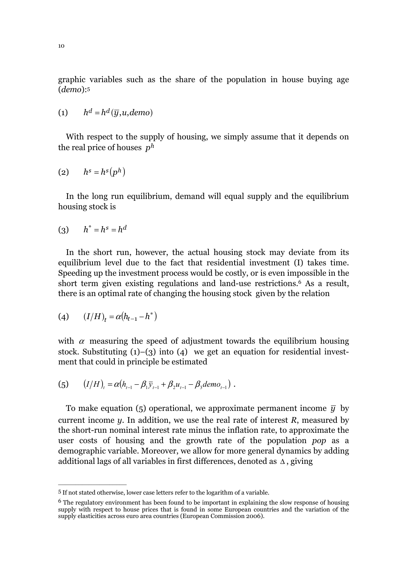graphic variables such as the share of the population in house buying age (*demo*):5

$$
(1) \qquad h^d = h^d(\overline{y}, u, demo)
$$

With respect to the supply of housing, we simply assume that it depends on the real price of houses  $p^h$ 

$$
(2) \qquad h^s = h^s(p^h)
$$

In the long run equilibrium, demand will equal supply and the equilibrium housing stock is

$$
(3) \qquad h^* = h^s = h^d
$$

In the short run, however, the actual housing stock may deviate from its equilibrium level due to the fact that residential investment (I) takes time. Speeding up the investment process would be costly, or is even impossible in the short term given existing regulations and land-use restrictions.6 As a result, there is an optimal rate of changing the housing stock given by the relation

(4) 
$$
(I/H)_t = \alpha (h_{t-1} - h^*)
$$

 $\overline{\phantom{a}}$  , where  $\overline{\phantom{a}}$  , where  $\overline{\phantom{a}}$ 

with  $\alpha$  measuring the speed of adjustment towards the equilibrium housing stock. Substituting  $(1)$ – $(3)$  into  $(4)$  we get an equation for residential investment that could in principle be estimated

(5) 
$$
(I/H)_t = \alpha (h_{t-1} - \beta_1 \bar{y}_{t-1} + \beta_2 u_{t-1} - \beta_3 dem_{t-1}).
$$

To make equation (5) operational, we approximate permanent income  $\bar{y}$  by current income *y*. In addition, we use the real rate of interest *R*, measured by the short-run nominal interest rate minus the inflation rate, to approximate the user costs of housing and the growth rate of the population *pop* as a demographic variable. Moreover, we allow for more general dynamics by adding additional lags of all variables in first differences, denoted as ∆ , giving

<sup>5</sup> If not stated otherwise, lower case letters refer to the logarithm of a variable.

<sup>&</sup>lt;sup>6</sup> The regulatory environment has been found to be important in explaining the slow response of housing supply with respect to house prices that is found in some European countries and the variation of the supply elasticities across euro area countries (European Commission 2006).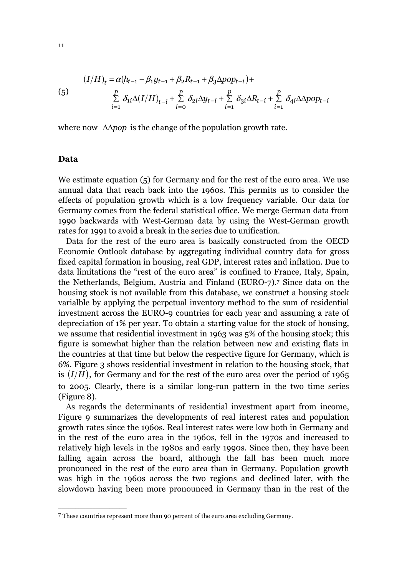(5) 
$$
(I/H)_t = \alpha (h_{t-1} - \beta_1 y_{t-1} + \beta_2 R_{t-1} + \beta_3 \Delta pop_{t-i}) +
$$

$$
\sum_{i=1}^p \delta_{1i} \Delta (I/H)_{t-i} + \sum_{i=0}^p \delta_{2i} \Delta y_{t-i} + \sum_{i=1}^p \delta_{3i} \Delta R_{t-i} + \sum_{i=1}^p \delta_{4i} \Delta App_{t-i}
$$

where now ∆∆*pop* is the change of the population growth rate.

#### **Data**

We estimate equation (5) for Germany and for the rest of the euro area. We use annual data that reach back into the 1960s. This permits us to consider the effects of population growth which is a low frequency variable. Our data for Germany comes from the federal statistical office. We merge German data from 1990 backwards with West-German data by using the West-German growth rates for 1991 to avoid a break in the series due to unification.

Data for the rest of the euro area is basically constructed from the OECD Economic Outlook database by aggregating individual country data for gross fixed capital formation in housing, real GDP, interest rates and inflation. Due to data limitations the "rest of the euro area" is confined to France, Italy, Spain, the Netherlands, Belgium, Austria and Finland (EURO-7).7 Since data on the housing stock is not available from this database, we construct a housing stock varialble by applying the perpetual inventory method to the sum of residential investment across the EURO-9 countries for each year and assuming a rate of depreciation of 1% per year. To obtain a starting value for the stock of housing, we assume that residential investment in 1963 was 5% of the housing stock; this figure is somewhat higher than the relation between new and existing flats in the countries at that time but below the respective figure for Germany, which is 6%. Figure 3 shows residential investment in relation to the housing stock, that is  $(I/H)$ , for Germany and for the rest of the euro area over the period of 1965 to 2005. Clearly, there is a similar long-run pattern in the two time series (Figure 8).

As regards the determinants of residential investment apart from income, Figure 9 summarizes the developments of real interest rates and population growth rates since the 1960s. Real interest rates were low both in Germany and in the rest of the euro area in the 1960s, fell in the 1970s and increased to relatively high levels in the 1980s and early 1990s. Since then, they have been falling again across the board, although the fall has been much more pronounced in the rest of the euro area than in Germany. Population growth was high in the 1960s across the two regions and declined later, with the slowdown having been more pronounced in Germany than in the rest of the

<sup>7</sup> These countries represent more than 90 percent of the euro area excluding Germany.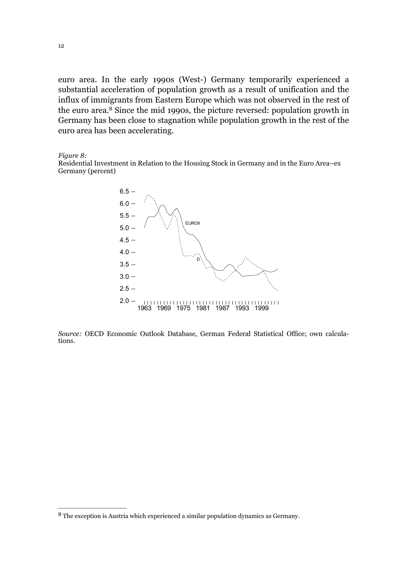euro area. In the early 1990s (West-) Germany temporarily experienced a substantial acceleration of population growth as a result of unification and the influx of immigrants from Eastern Europe which was not observed in the rest of the euro area.8 Since the mid 1990s, the picture reversed: population growth in Germany has been close to stagnation while population growth in the rest of the euro area has been accelerating.

*Figure 8:* 

Residential Investment in Relation to the Housing Stock in Germany and in the Euro Area–ex Germany (percent)



*Source:* OECD Economic Outlook Database, German Federal Statistical Office; own calculations.

<sup>8</sup> The exception is Austria which experienced a similar population dynamics as Germany.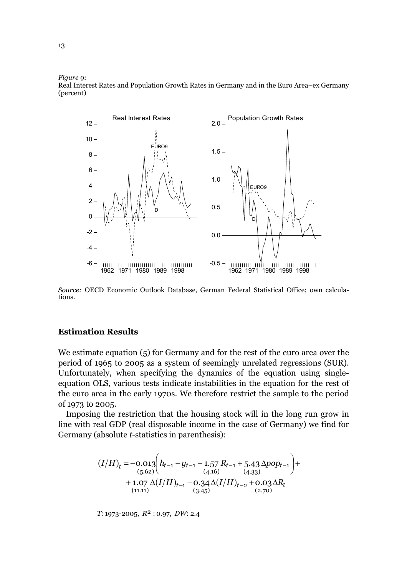*Figure 9:* 

Real Interest Rates and Population Growth Rates in Germany and in the Euro Area–ex Germany (percent)



*Source:* OECD Economic Outlook Database, German Federal Statistical Office; own calculations.

#### **Estimation Results**

We estimate equation (5) for Germany and for the rest of the euro area over the period of 1965 to 2005 as a system of seemingly unrelated regressions (SUR). Unfortunately, when specifying the dynamics of the equation using singleequation OLS, various tests indicate instabilities in the equation for the rest of the euro area in the early 1970s. We therefore restrict the sample to the period of 1973 to 2005.

Imposing the restriction that the housing stock will in the long run grow in line with real GDP (real disposable income in the case of Germany) we find for Germany (absolute *t*-statistics in parenthesis):

$$
(I/H)_t = -0.013 \left( h_{t-1} - y_{t-1} - 1.57 R_{t-1} + 5.43 \Delta pop_{t-1} \right) + + 1.07 \Delta (I/H)_{t-1} - 0.34 \Delta (I/H)_{t-2} + 0.03 \Delta R_t (11.11)
$$
 (3.45)

*T*: 1973-2005,  $R^2$ : 0.97, *DW*: 2.4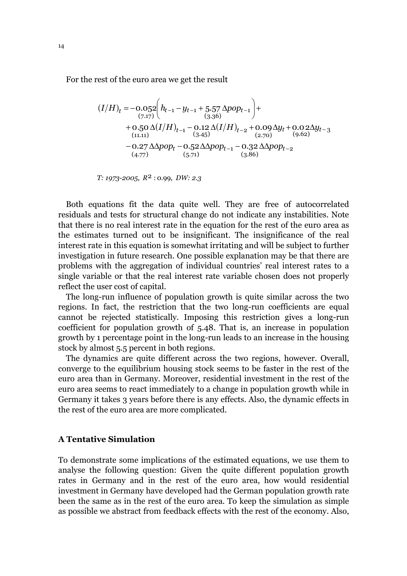For the rest of the euro area we get the result

$$
(I/H)_t = -0.052 \left( h_{t-1} - y_{t-1} + 5.57 \Delta pop_{t-1} \right) +
$$
  
\n
$$
+ 0.50 \Delta (I/H)_{t-1} - 0.12 \Delta (I/H)_{t-2} + 0.09 \Delta y_t + 0.02 \Delta y_{t-3}
$$
  
\n
$$
- 0.27 \Delta pop_t - 0.52 \Delta pop_{t-1} - 0.32 \Delta pop_{t-2}
$$
  
\n
$$
(4.77)
$$

*T: 1973-2005, R<sup>2</sup> : 0.99, DW: 2.3* 

Both equations fit the data quite well. They are free of autocorrelated residuals and tests for structural change do not indicate any instabilities. Note that there is no real interest rate in the equation for the rest of the euro area as the estimates turned out to be insignificant. The insignificance of the real interest rate in this equation is somewhat irritating and will be subject to further investigation in future research. One possible explanation may be that there are problems with the aggregation of individual countries' real interest rates to a single variable or that the real interest rate variable chosen does not properly reflect the user cost of capital.

The long-run influence of population growth is quite similar across the two regions. In fact, the restriction that the two long-run coefficients are equal cannot be rejected statistically. Imposing this restriction gives a long-run coefficient for population growth of 5.48. That is, an increase in population growth by 1 percentage point in the long-run leads to an increase in the housing stock by almost 5.5 percent in both regions.

The dynamics are quite different across the two regions, however. Overall, converge to the equilibrium housing stock seems to be faster in the rest of the euro area than in Germany. Moreover, residential investment in the rest of the euro area seems to react immediately to a change in population growth while in Germany it takes 3 years before there is any effects. Also, the dynamic effects in the rest of the euro area are more complicated.

## **A Tentative Simulation**

To demonstrate some implications of the estimated equations, we use them to analyse the following question: Given the quite different population growth rates in Germany and in the rest of the euro area, how would residential investment in Germany have developed had the German population growth rate been the same as in the rest of the euro area. To keep the simulation as simple as possible we abstract from feedback effects with the rest of the economy. Also,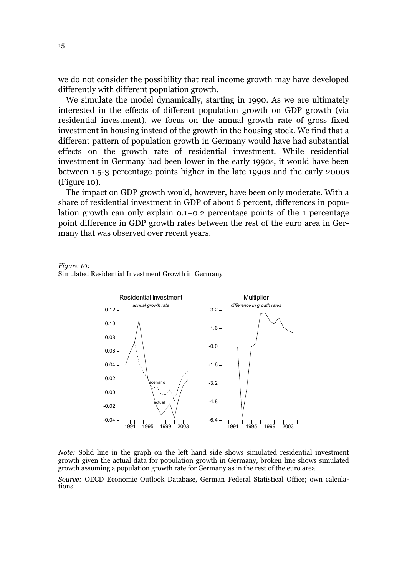we do not consider the possibility that real income growth may have developed differently with different population growth.

We simulate the model dynamically, starting in 1990. As we are ultimately interested in the effects of different population growth on GDP growth (via residential investment), we focus on the annual growth rate of gross fixed investment in housing instead of the growth in the housing stock. We find that a different pattern of population growth in Germany would have had substantial effects on the growth rate of residential investment. While residential investment in Germany had been lower in the early 1990s, it would have been between 1.5-3 percentage points higher in the late 1990s and the early 2000s (Figure 10).

The impact on GDP growth would, however, have been only moderate. With a share of residential investment in GDP of about 6 percent, differences in population growth can only explain 0.1–0.2 percentage points of the 1 percentage point difference in GDP growth rates between the rest of the euro area in Germany that was observed over recent years.

#### *Figure 10:*

Simulated Residential Investment Growth in Germany



*Note:* Solid line in the graph on the left hand side shows simulated residential investment growth given the actual data for population growth in Germany, broken line shows simulated growth assuming a population growth rate for Germany as in the rest of the euro area.

*Source:* OECD Economic Outlook Database, German Federal Statistical Office; own calculations.